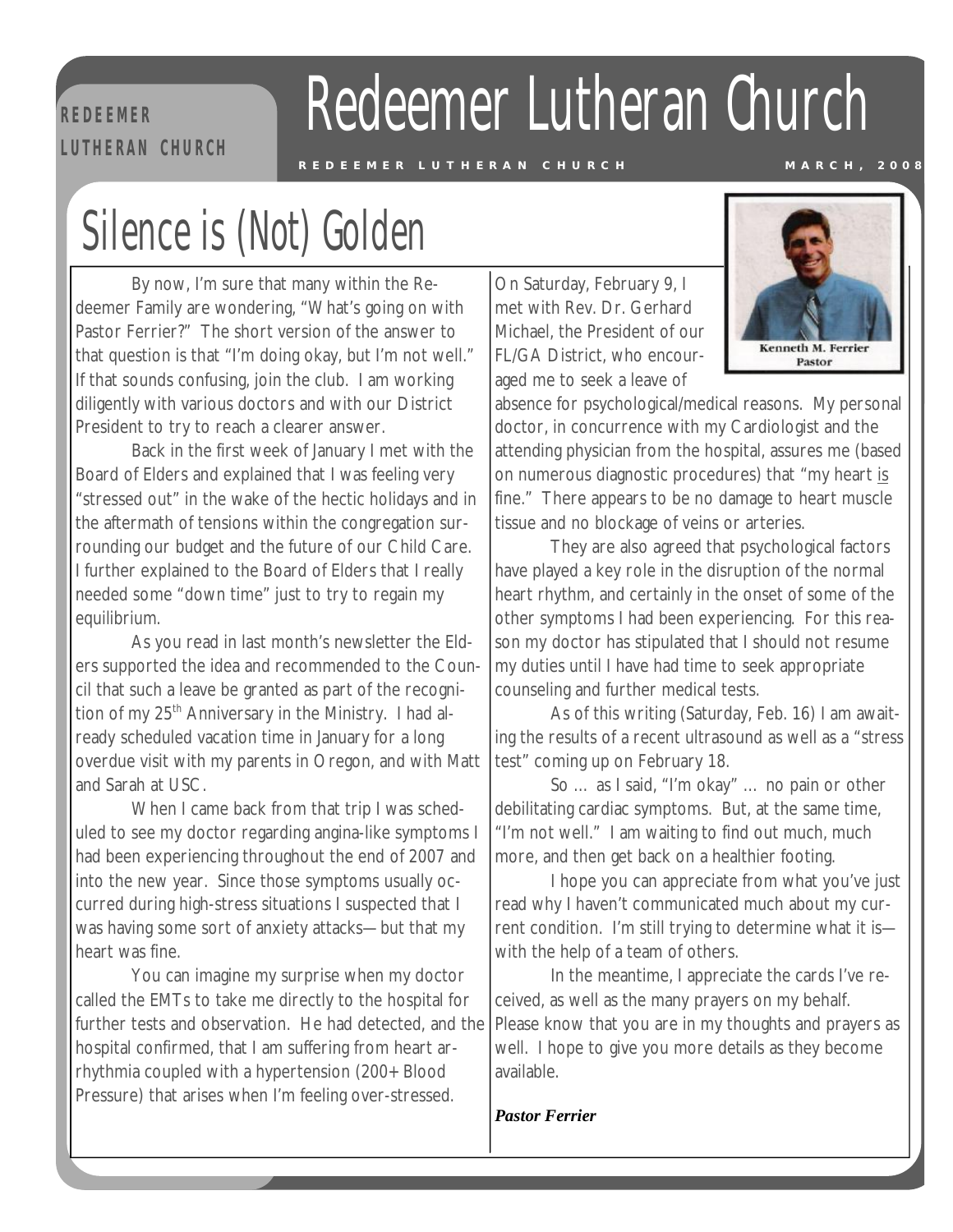#### **R E D EE M ER**   $L$  **ULTHERAN** CHURCH

## Redeemer Lutheran Church

## Silence is (Not) Golden

By now, I'm sure that many within the Redeemer Family are wondering, "What's going on with Pastor Ferrier?" The short version of the answer to that question is that "I'm doing okay, but I'm not well." If that sounds confusing, join the club. I am working diligently with various doctors and with our District President to try to reach a clearer answer.

Back in the first week of January I met with the Board of Elders and explained that I was feeling very "stressed out" in the wake of the hectic holidays and in the aftermath of tensions within the congregation surrounding our budget and the future of our Child Care. I further explained to the Board of Elders that I really needed some "down time" just to try to regain my equilibrium.

As you read in last month's newsletter the Elders supported the idea and recommended to the Council that such a leave be granted as part of the recognition of my 25<sup>th</sup> Anniversary in the Ministry. I had already scheduled vacation time in January for a long overdue visit with my parents in Oregon, and with Matt and Sarah at USC.

When I came back from that trip I was scheduled to see my doctor regarding angina-like symptoms I had been experiencing throughout the end of 2007 and into the new year. Since those symptoms usually occurred during high-stress situations I suspected that I was having some sort of anxiety attacks—but that my heart was fine.

You can imagine my surprise when my doctor called the EMTs to take me directly to the hospital for further tests and observation. He had detected, and the hospital confirmed, that I am suffering from heart arrhythmia coupled with a hypertension (200+ Blood Pressure) that arises when I'm feeling over-stressed.

On Saturday, February 9, I met with Rev. Dr. Gerhard Michael, the President of our FL/GA District, who encouraged me to seek a leave of



absence for psychological/medical reasons. My personal doctor, in concurrence with my Cardiologist and the attending physician from the hospital, assures me (based on numerous diagnostic procedures) that "my heart is fine." There appears to be no damage to heart muscle tissue and no blockage of veins or arteries.

They are also agreed that psychological factors have played a key role in the disruption of the normal heart rhythm, and certainly in the onset of some of the other symptoms I had been experiencing. For this reason my doctor has stipulated that I should not resume my duties until I have had time to seek appropriate counseling and further medical tests.

As of this writing (Saturday, Feb. 16) I am awaiting the results of a recent ultrasound as well as a "stress test" coming up on February 18.

So … as I said, "I'm okay" … no pain or other debilitating cardiac symptoms. But, at the same time, "I'm not well." I am waiting to find out much, much more, and then get back on a healthier footing.

I hope you can appreciate from what you've just read why I haven't communicated much about my current condition. I'm still trying to determine what it is with the help of a team of others.

In the meantime, I appreciate the cards I've received, as well as the many prayers on my behalf. Please know that you are in my thoughts and prayers as well. I hope to give you more details as they become available.

*Pastor Ferrier*

*Pastor Ferrier*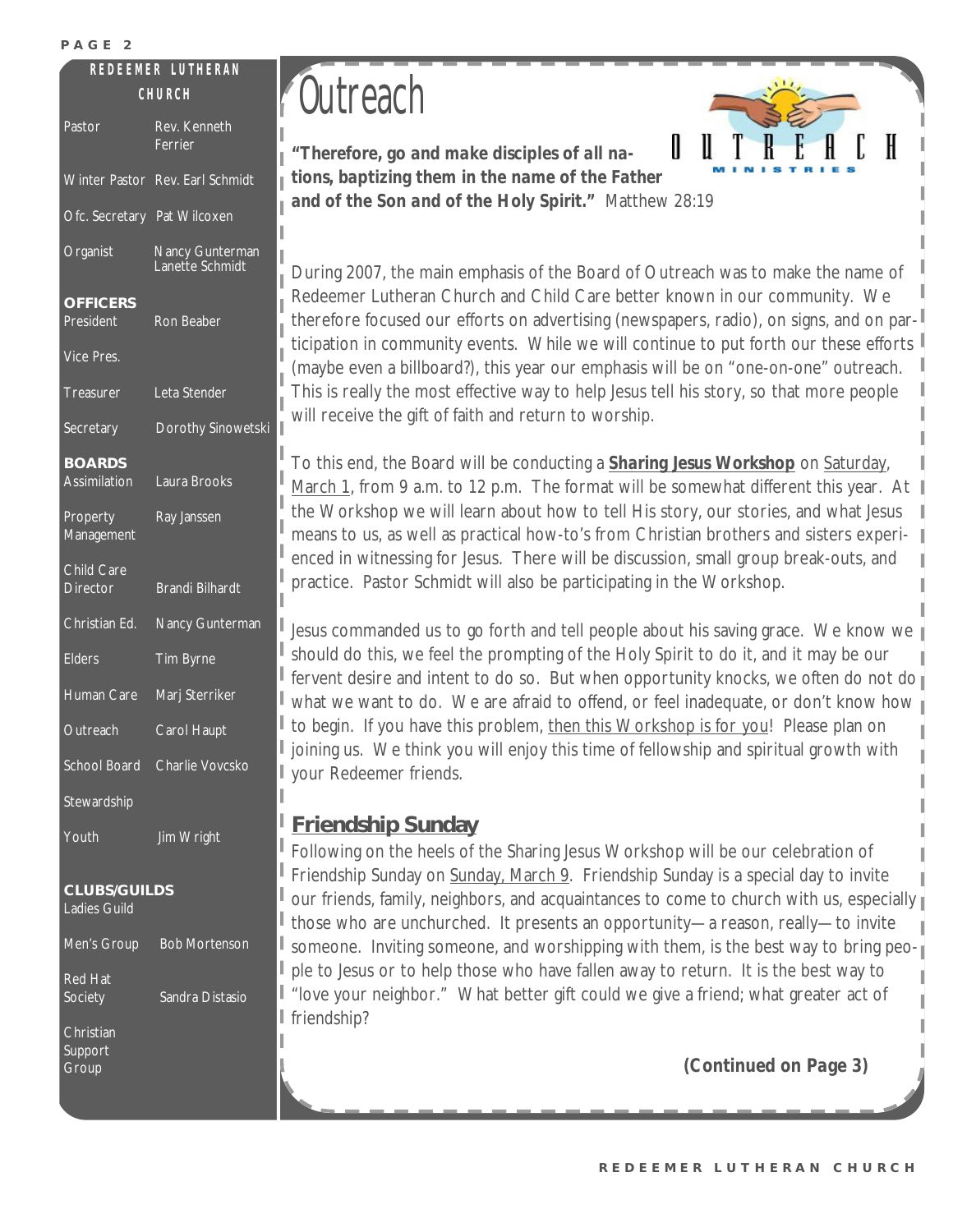#### **R E D E E M ER L U T H E RA N R E D E E M ER L U T H E RA N**

| Pastor                                     | Rev. Kenneth<br>Ferrier            |  |  |  |
|--------------------------------------------|------------------------------------|--|--|--|
| <b>Winter Pastor</b>                       | Rev. Earl Schmidt                  |  |  |  |
| Ofc. Secretary                             | Pat Wilcoxen                       |  |  |  |
| Organist                                   | Nancy Gunterman<br>Lanette Schmidt |  |  |  |
| <b>OFFICERS</b><br>President               | <b>Ron Beaber</b>                  |  |  |  |
| <b>Vice Pres.</b>                          |                                    |  |  |  |
| Treasurer                                  | Leta Stender                       |  |  |  |
| Secretary                                  | Dorothy Sinowetski                 |  |  |  |
| <b>BOARDS</b><br><b>Assimilation</b>       | Laura Brooks                       |  |  |  |
| Property<br>Management                     | Ray Janssen                        |  |  |  |
| Child Care<br><b>Director</b>              | <b>Brandi Bilhardt</b>             |  |  |  |
| Christian Ed.                              | Nancy Gunterman                    |  |  |  |
| <b>Elders</b>                              | Tim Byrne                          |  |  |  |
| <b>Human Care</b>                          | Marj Sterriker                     |  |  |  |
| Outreach                                   | Carol Haupt                        |  |  |  |
| <b>School Board</b>                        | Charlie Vovcsko                    |  |  |  |
| Stewardship                                |                                    |  |  |  |
| Youth                                      | Jim Wright                         |  |  |  |
| <b>CLUBS/GUILDS</b><br><b>Ladies Guild</b> |                                    |  |  |  |
| Men's Group                                | <b>Bob Mortenson</b>               |  |  |  |
| <b>Red Hat</b><br>Society                  | Sandra Distasio                    |  |  |  |
| Christian<br>Support<br>Group              |                                    |  |  |  |

## $\hat{U}$  **Cutreach**

*"Therefore, go and make disciples of all nations, baptizing them in the name of the Father and of the Son and of the Holy Spirit."* Matthew 28:19

During 2007, the main emphasis of the Board of Outreach was to make the name of Redeemer Lutheran Church and Child Care better known in our community. We therefore focused our efforts on advertising (newspapers, radio), on signs, and on participation in community events. While we will continue to put forth our these efforts (maybe even a billboard?), this year our emphasis will be on "one-on-one" outreach. This is really the most effective way to help Jesus tell his story, so that more people will receive the gift of faith and return to worship.

To this end, the Board will be conducting a *Sharing Jesus Workshop* on Saturday, March 1, from 9 a.m. to 12 p.m. The format will be somewhat different this year. At  $\parallel$ the Workshop we will learn about how to tell His story, our stories, and what Jesus means to us, as well as practical how-to's from Christian brothers and sisters experienced in witnessing for Jesus. There will be discussion, small group break-outs, and practice. Pastor Schmidt will also be participating in the Workshop.

Jesus commanded us to go forth and tell people about his saving grace. We know we should do this, we feel the prompting of the Holy Spirit to do it, and it may be our fervent desire and intent to do so. But when opportunity knocks, we often do not do what we want to do. We are afraid to offend, or feel inadequate, or don't know how to begin. If you have this problem, then this Workshop is for you! Please plan on joining us. We think you will enjoy this time of fellowship and spiritual growth with your Redeemer friends.

#### **Friendship Sunday**

Following on the heels of the Sharing Jesus Workshop will be our celebration of Friendship Sunday on Sunday, March 9. Friendship Sunday is a special day to invite our friends, family, neighbors, and acquaintances to come to church with us, especially those who are unchurched. It presents an opportunity—a reason, really—to invite someone. Inviting someone, and worshipping with them, is the best way to bring people to Jesus or to help those who have fallen away to return. It is the best way to "love your neighbor." What better gift could we give a friend; what greater act of friendship?

*(Continued on Page 3)*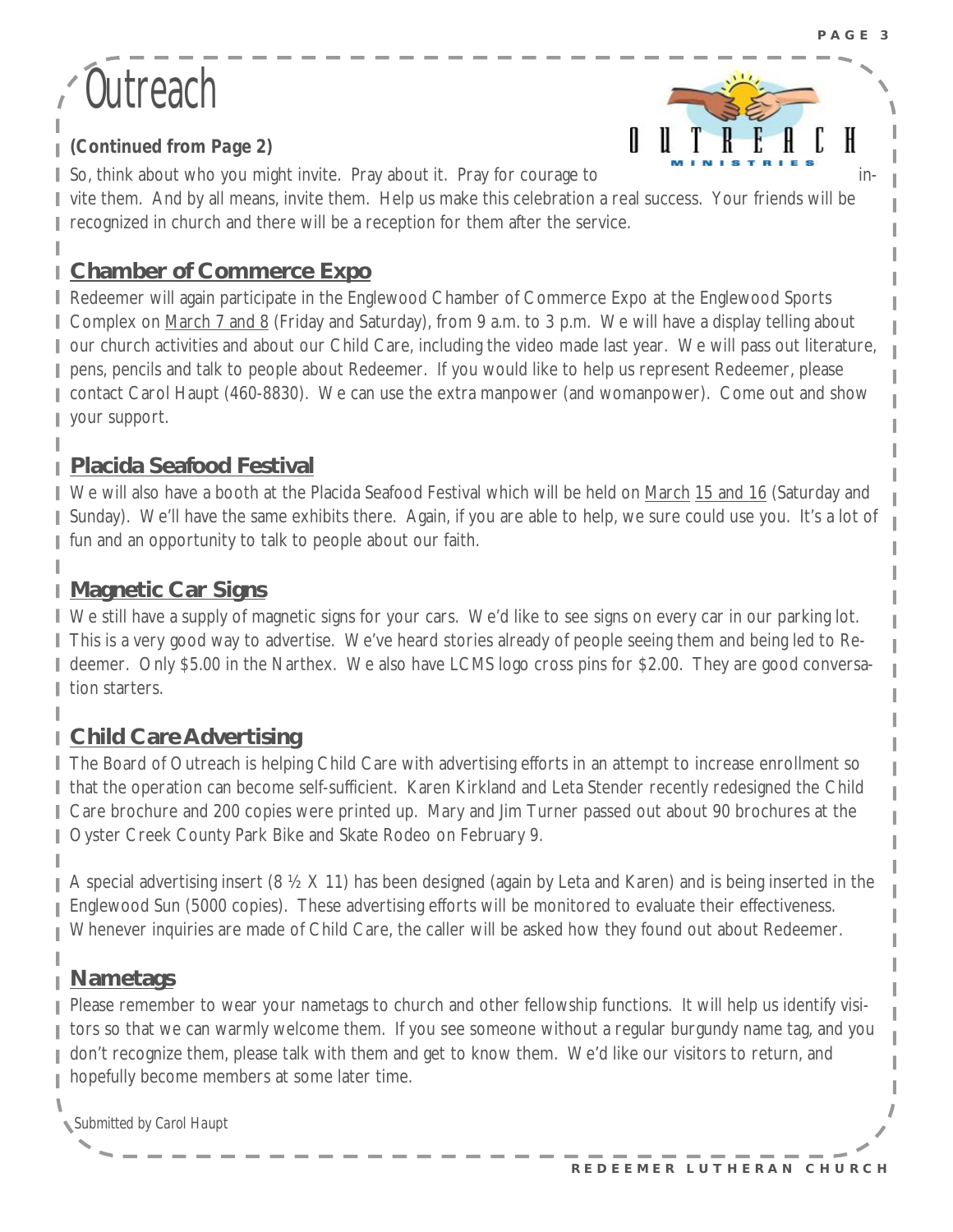## **Outreach**

I

T



*(Continued from Page 2)* 

So, think about who you might invite. Pray about it. Pray for courage to in-

vite them. And by all means, invite them. Help us make this celebration a real success. Your friends will be Н recognized in church and there will be a reception for them after the service.

#### **Chamber of Commerce Expo**

L Redeemer will again participate in the Englewood Chamber of Commerce Expo at the Englewood Sports Complex on March 7 and 8 (Friday and Saturday), from 9 a.m. to 3 p.m. We will have a display telling about our church activities and about our Child Care, including the video made last year. We will pass out literature, pens, pencils and talk to people about Redeemer. If you would like to help us represent Redeemer, please L contact Carol Haupt (460-8830). We can use the extra manpower (and womanpower). Come out and show your support.

#### **Placida Seafood Festival**

We will also have a booth at the Placida Seafood Festival which will be held on March 15 and 16 (Saturday and Sunday). We'll have the same exhibits there. Again, if you are able to help, we sure could use you. It's a lot of fun and an opportunity to talk to people about our faith.

#### **Magnetic Car Signs** Н

We still have a supply of magnetic signs for your cars. We'd like to see signs on every car in our parking lot. This is a very good way to advertise. We've heard stories already of people seeing them and being led to Redeemer. Only \$5.00 in the Narthex. We also have LCMS logo cross pins for \$2.00. They are good conversaı tion starters.

#### **Child Care Advertising**

The Board of Outreach is helping Child Care with advertising efforts in an attempt to increase enrollment so that the operation can become self-sufficient. Karen Kirkland and Leta Stender recently redesigned the Child Care brochure and 200 copies were printed up. Mary and Jim Turner passed out about 90 brochures at the Oyster Creek County Park Bike and Skate Rodeo on February 9.

A special advertising insert (8 ½ X 11) has been designed (again by Leta and Karen) and is being inserted in the Englewood Sun (5000 copies). These advertising efforts will be monitored to evaluate their effectiveness. Whenever inquiries are made of Child Care, the caller will be asked how they found out about Redeemer.

#### **Nametags**

Please remember to wear your nametags to church and other fellowship functions. It will help us identify visitors so that we can warmly welcome them. If you see someone without a regular burgundy name tag, and you don't recognize them, please talk with them and get to know them. We'd like our visitors to return, and hopefully become members at some later time.

*Submitted by Carol Haupt*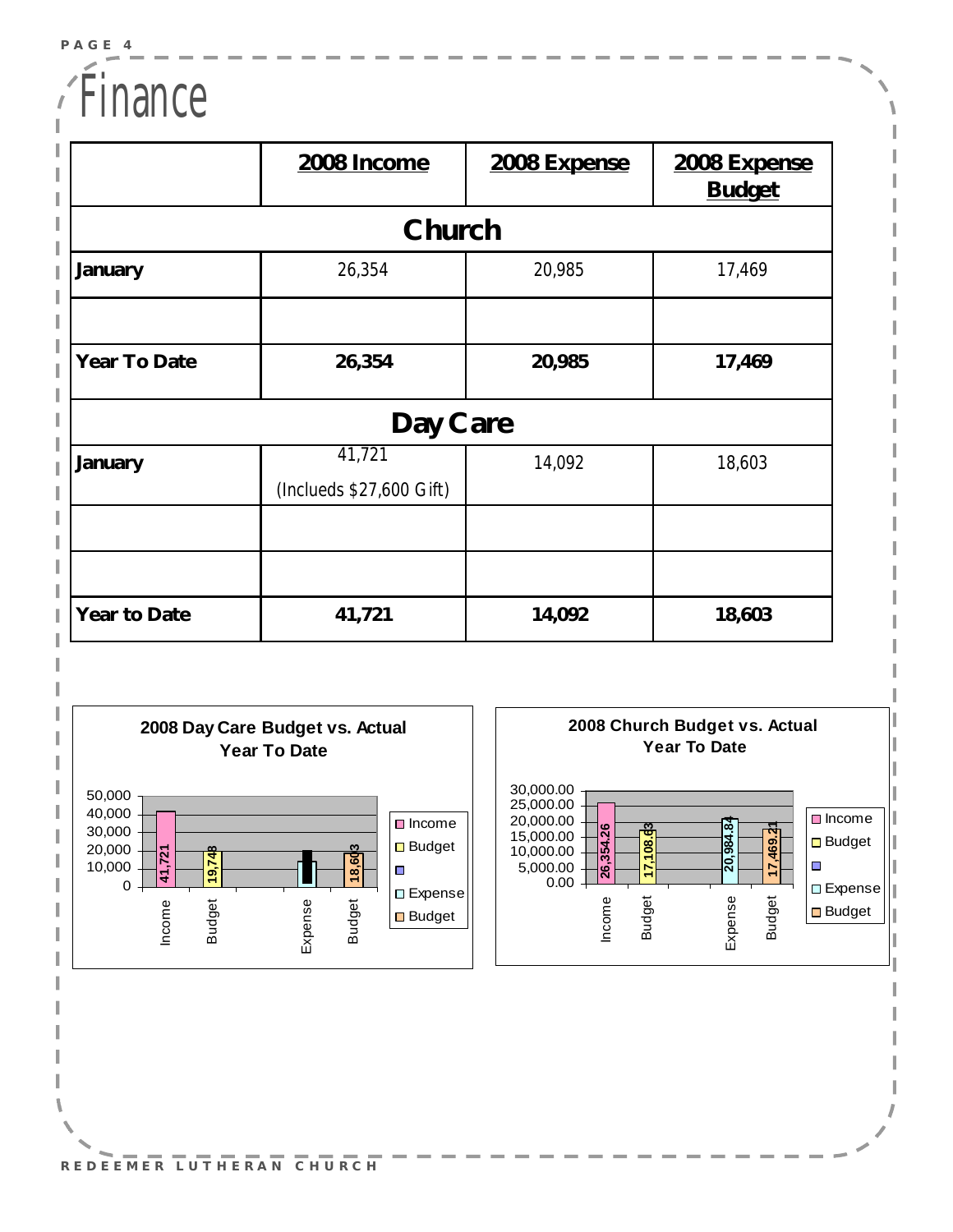### Finance

|              | 2008 Income                        | 2008 Expense | 2008 Expense<br><b>Budget</b> |  |  |  |
|--------------|------------------------------------|--------------|-------------------------------|--|--|--|
| Church       |                                    |              |                               |  |  |  |
| January      | 26,354                             | 20,985       | 17,469                        |  |  |  |
|              |                                    |              |                               |  |  |  |
| Year To Date | 26,354                             | 20,985       | 17,469                        |  |  |  |
| Day Care     |                                    |              |                               |  |  |  |
| January      | 41,721<br>(Inclueds \$27,600 Gift) | 14,092       | 18,603                        |  |  |  |
|              |                                    |              |                               |  |  |  |
|              |                                    |              |                               |  |  |  |
| Year to Date | 41,721                             | 14,092       | 18,603                        |  |  |  |





**R E D E E M E R L U T H E R A N C H U R CH**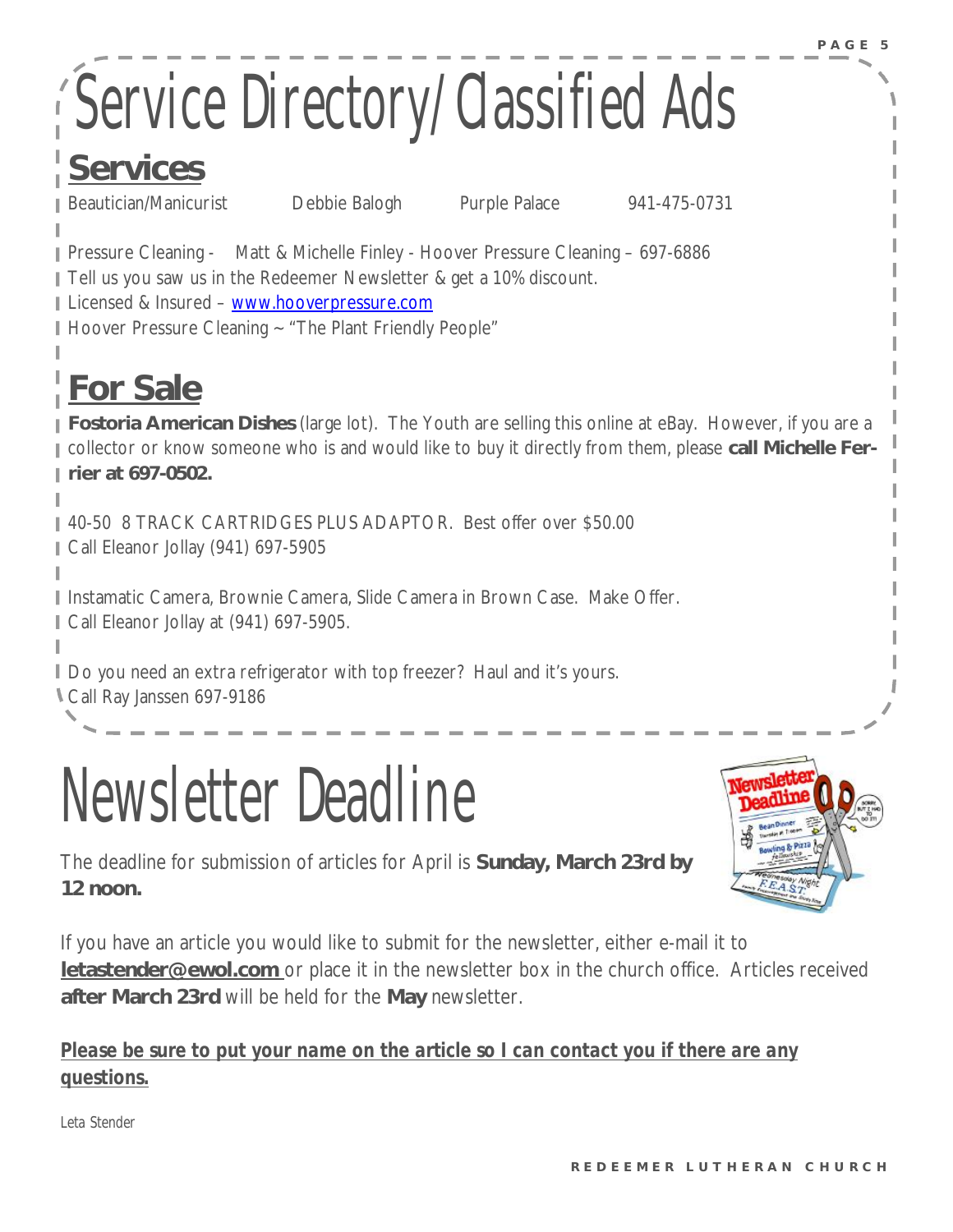# Service Directory/Classified Ads

### **Services**

Beautician/Manicurist Debbie Balogh Purple Palace 941-475-0731

Pressure Cleaning - Matt & Michelle Finley - Hoover Pressure Cleaning - 697-6886 Tell us you saw us in the Redeemer Newsletter & get a 10% discount. Licensed & Insured – [www.hooverpressure.com](http://www.hooverpressure.com) Hoover Pressure Cleaning ~ "The Plant Friendly People"

### **For Sale**

**Fostoria American Dishes** (large lot). The Youth are selling this online at eBay. However, if you are a collector or know someone who is and would like to buy it directly from them, please **call Michelle Ferrier at 697-0502.** 

40-50 8 TRACK CARTRIDGES PLUS ADAPTOR. Best offer over \$50.00 Call Eleanor Jollay (941) 697-5905

Instamatic Camera, Brownie Camera, Slide Camera in Brown Case. Make Offer. Call Eleanor Jollay at (941) 697-5905.

Do you need an extra refrigerator with top freezer? Haul and it's yours. Call Ray Janssen 697-9186

Newsletter Deadline



The deadline for submission of articles for April is **Sunday, March 23rd by 12 noon.** 

If you have an article you would like to submit for the newsletter, either e-mail it to **[letastender@ewol.com](mailto:letastender@ewol.com)** or place it in the newsletter box in the church office. Articles received **after March 23rd** will be held for the **May** newsletter.

#### *Please be sure to put your name on the article so I can contact you if there are any questions.*

*Leta Stender*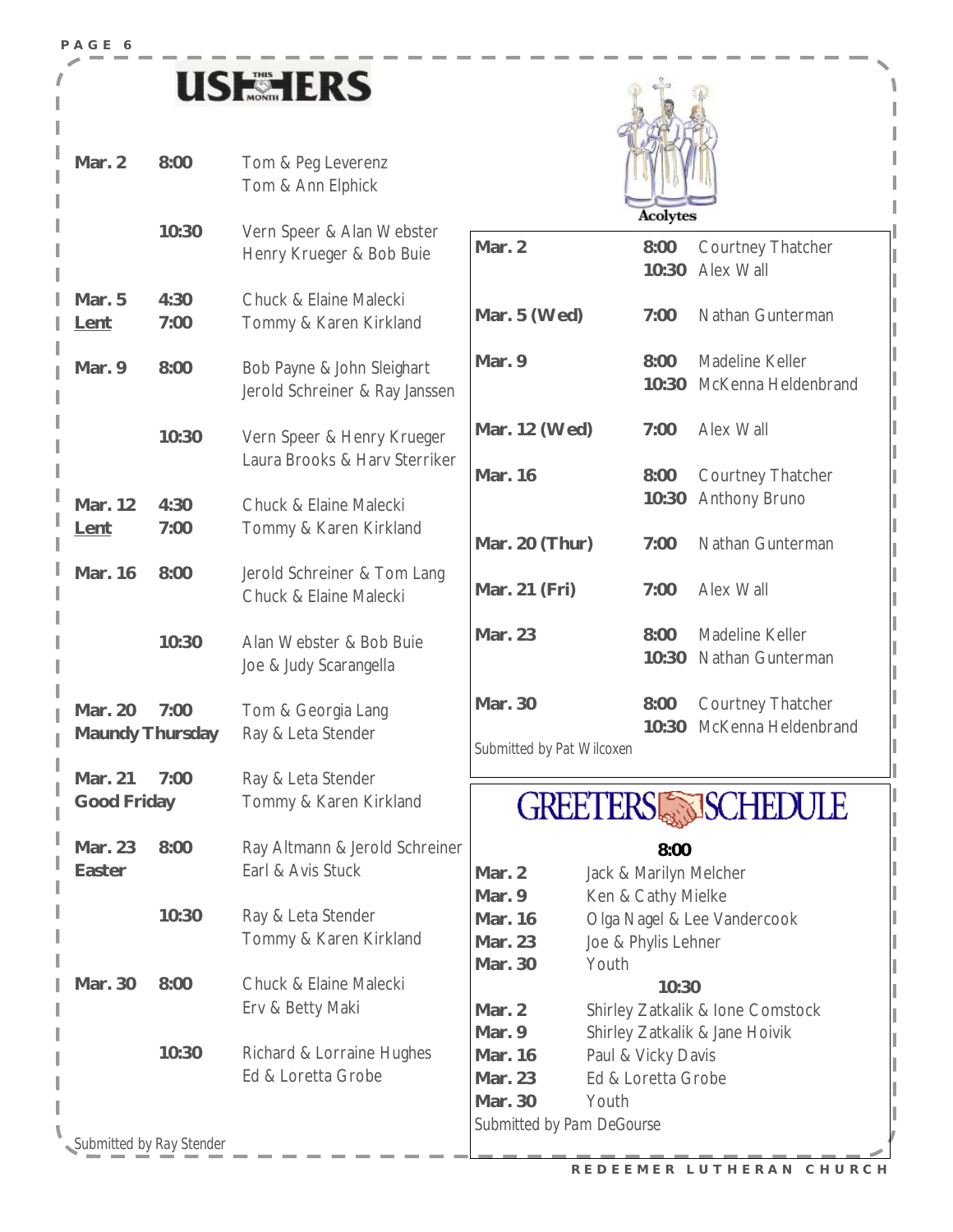### **USESHERS**

**Mar. 2 8:00** Tom & Peg Leverenz

**P A G E 6** 



|                                   |              | Tom & Ann Elphick                                            |                               | 9 W<br><b>Acolytes</b>                               |                                                                    |
|-----------------------------------|--------------|--------------------------------------------------------------|-------------------------------|------------------------------------------------------|--------------------------------------------------------------------|
|                                   | 10:30        | Vern Speer & Alan Webster<br>Henry Krueger & Bob Buie        | Mar. 2                        | 8:00<br>10:30                                        | Courtney Thatcher<br>Alex Wall                                     |
| Mar. 5<br>Lent                    | 4:30<br>7:00 | Chuck & Elaine Malecki<br>Tommy & Karen Kirkland             | Mar. 5 (Wed)                  | 7:00                                                 | Nathan Gunterman                                                   |
| Mar. 9                            | 8:00         | Bob Payne & John Sleighart<br>Jerold Schreiner & Ray Janssen | Mar. 9                        | 8:00<br>10:30                                        | Madeline Keller<br>McKenna Heldenbrand                             |
|                                   | 10:30        | Vern Speer & Henry Krueger<br>Laura Brooks & Harv Sterriker  | Mar. 12 (Wed)                 | 7:00                                                 | Alex Wall                                                          |
| Mar. 12                           | 4:30         | Chuck & Elaine Malecki                                       | Mar. 16                       | 8:00<br>10:30                                        | Courtney Thatcher<br><b>Anthony Bruno</b>                          |
| <u>Lent</u>                       | 7:00         | Tommy & Karen Kirkland                                       | Mar. 20 (Thur)                | 7:00                                                 | Nathan Gunterman                                                   |
| Mar. 16                           | 8:00         | Jerold Schreiner & Tom Lang<br>Chuck & Elaine Malecki        | Mar. 21 (Fri)                 | 7:00                                                 | Alex Wall                                                          |
|                                   | 10:30        | Alan Webster & Bob Buie<br>Joe & Judy Scarangella            | Mar. 23                       | 8:00<br>10:30                                        | Madeline Keller<br>Nathan Gunterman                                |
| Mar. 20<br><b>Maundy Thursday</b> | 7:00         | Tom & Georgia Lang<br>Ray & Leta Stender                     | Mar. 30                       | 8:00<br>10:30                                        | Courtney Thatcher<br>McKenna Heldenbrand                           |
| Mar. 21                           | 7:00         | Ray & Leta Stender                                           | Submitted by Pat Wilcoxen     |                                                      |                                                                    |
| Good Friday                       |              | Tommy & Karen Kirkland                                       | <b>GREETERS SISCHEDULE</b>    |                                                      |                                                                    |
| Mar. 23<br>Easter                 | 8:00         | Ray Altmann & Jerold Schreiner<br>Earl & Avis Stuck          | Mar. 2<br>Mar. 9              | 8:00<br>Jack & Marilyn Melcher<br>Ken & Cathy Mielke |                                                                    |
|                                   | 10:30        | Ray & Leta Stender<br>Tommy & Karen Kirkland                 | Mar. 16<br>Mar. 23<br>Mar. 30 | Joe & Phylis Lehner<br>Youth                         | Olga Nagel & Lee Vandercook                                        |
| Mar. 30                           | 8:00         | Chuck & Elaine Malecki<br>Erv & Betty Maki                   | Mar. 2<br>Mar. 9              | 10:30                                                | Shirley Zatkalik & Ione Comstock<br>Shirley Zatkalik & Jane Hoivik |
|                                   | 10:30        | Richard & Lorraine Hughes<br>Ed & Loretta Grobe              | Mar. 16<br>Mar. 23<br>Mar. 30 | Paul & Vicky Davis<br>Ed & Loretta Grobe<br>Youth    |                                                                    |
|                                   |              |                                                              | Submitted by Pam DeGourse     |                                                      |                                                                    |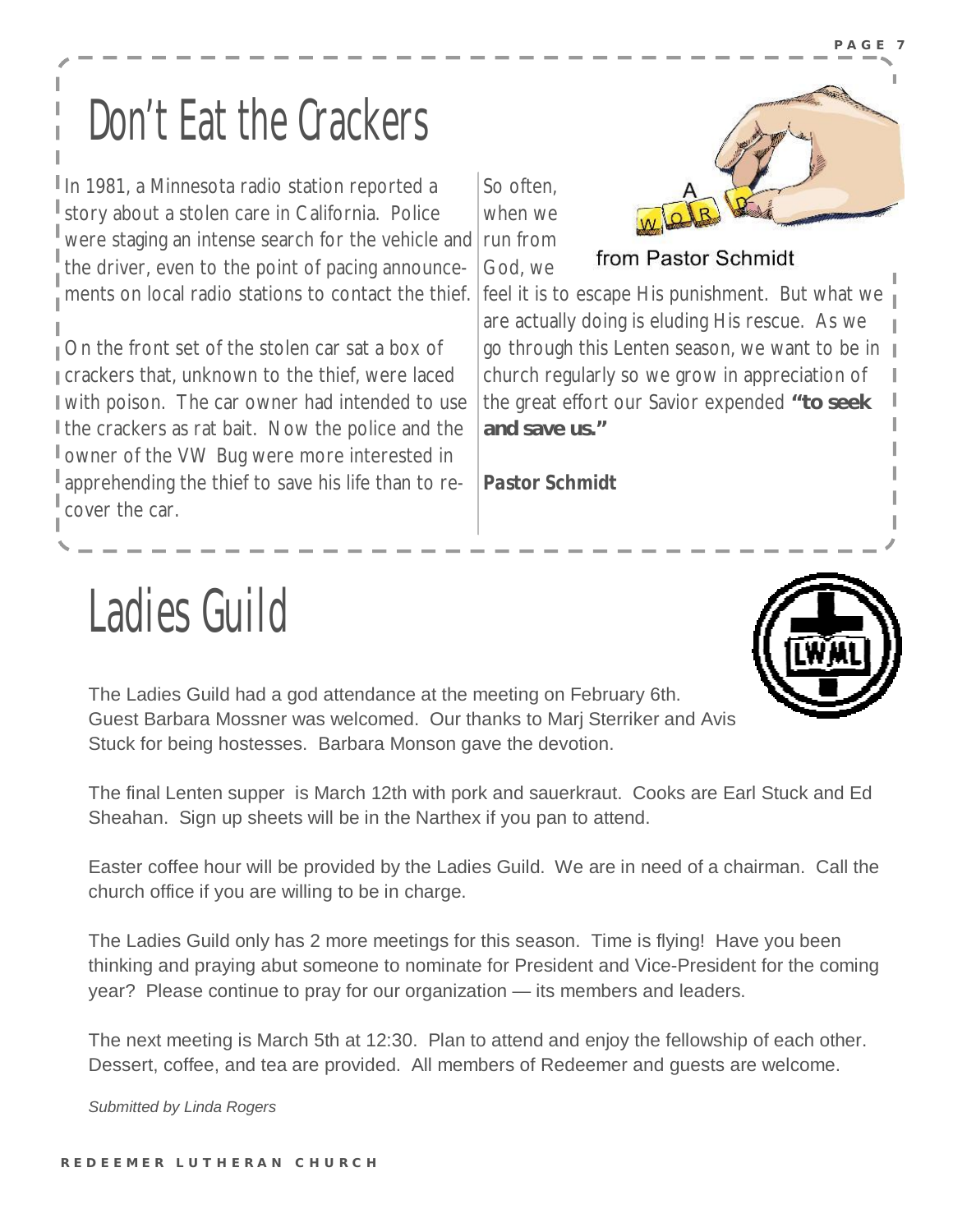**P A G E 7** 

## Don't Eat the Crackers

In 1981, a Minnesota radio station reported a story about a stolen care in California. Police were staging an intense search for the vehicle and the driver, even to the point of pacing announcements on local radio stations to contact the thief.

On the front set of the stolen car sat a box of crackers that, unknown to the thief, were laced with poison. The car owner had intended to use I the crackers as rat bait. Now the police and the owner of the VW Bug were more interested in apprehending the thief to save his life than to recover the car.

So often, when we run from from Pastor Schmidt God, we feel it is to escape His punishment. But what we are actually doing is eluding His rescue. As we go through this Lenten season, we want to be in church regularly so we grow in appreciation of the great effort our Savior expended **"to seek and save us."**

*Pastor Schmidt*

## Ladies Guild

The Ladies Guild had a god attendance at the meeting on February 6th. Guest Barbara Mossner was welcomed. Our thanks to Marj Sterriker and Avis Stuck for being hostesses. Barbara Monson gave the devotion.

The final Lenten supper is March 12th with pork and sauerkraut. Cooks are Earl Stuck and Ed Sheahan. Sign up sheets will be in the Narthex if you pan to attend.

Easter coffee hour will be provided by the Ladies Guild. We are in need of a chairman. Call the church office if you are willing to be in charge.

The Ladies Guild only has 2 more meetings for this season. Time is flying! Have you been thinking and praying abut someone to nominate for President and Vice-President for the coming year? Please continue to pray for our organization — its members and leaders.

The next meeting is March 5th at 12:30. Plan to attend and enjoy the fellowship of each other. Dessert, coffee, and tea are provided. All members of Redeemer and guests are welcome.

*Submitted by Linda Rogers* 

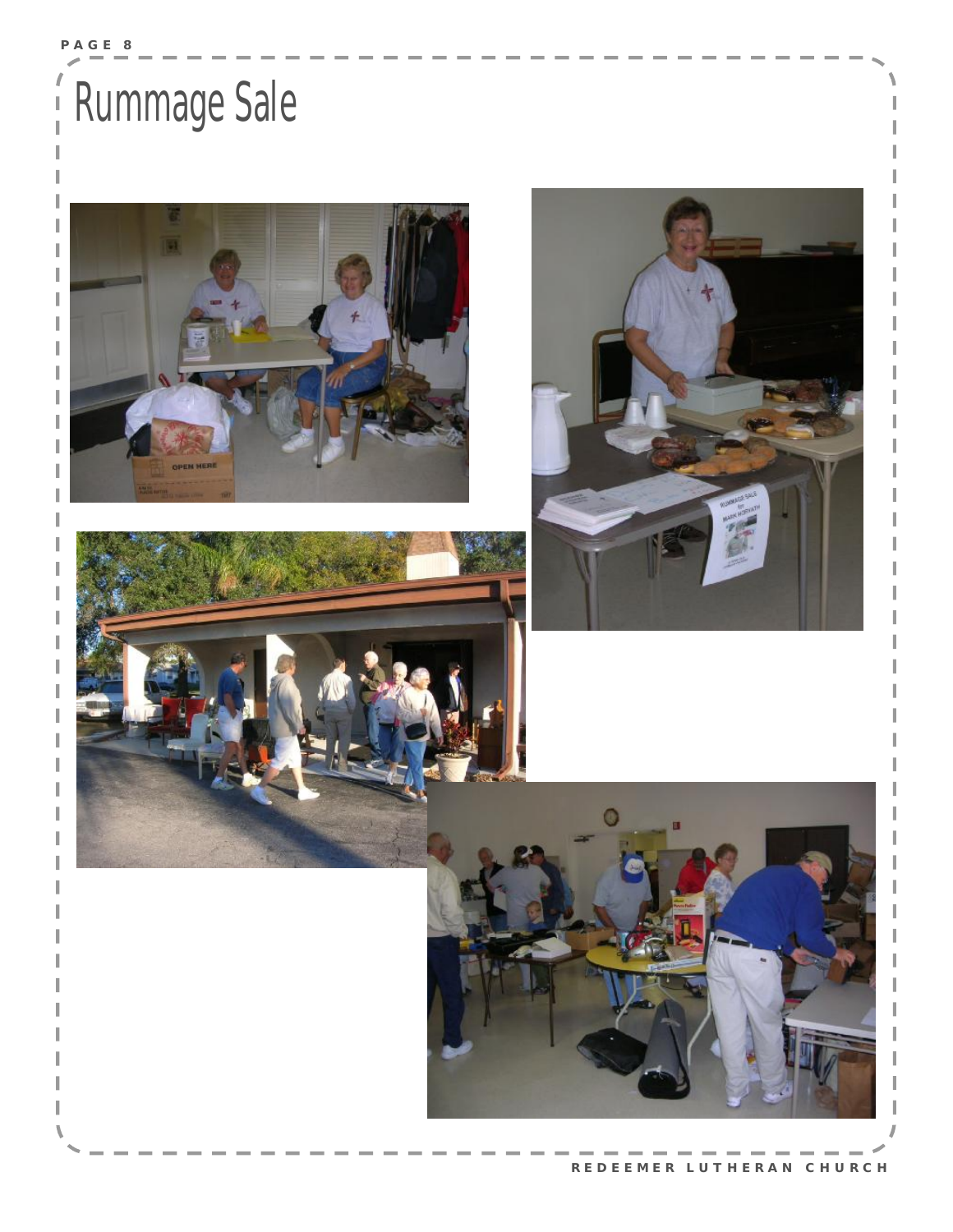## Rummage Sale







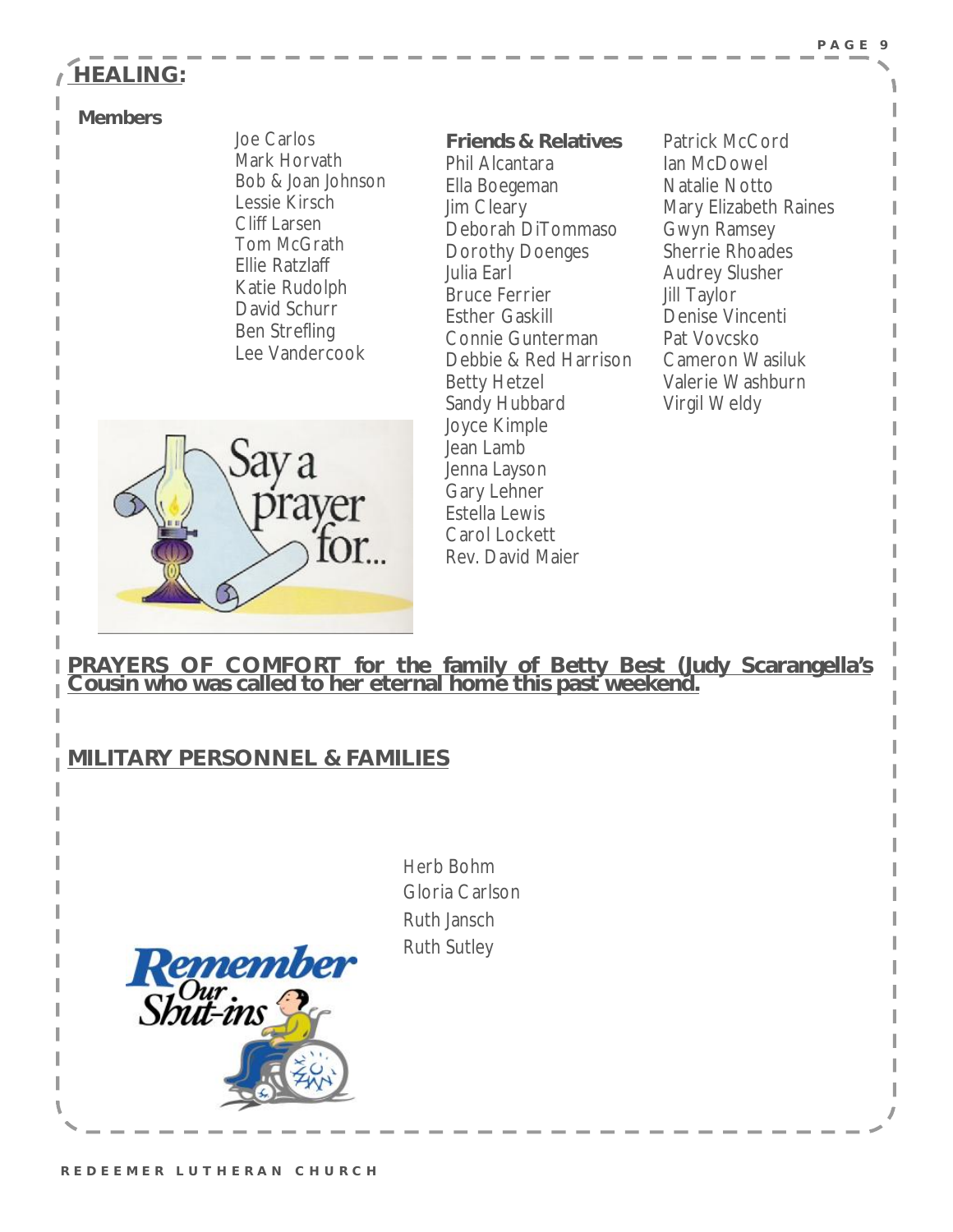#### **P A G E 9**

#### **HEALING:**

#### **Members**

Joe Carlos Mark Horvath Bob & Joan Johnson Lessie Kirsch Cliff Larsen Tom McGrath Ellie Ratzlaff Katie Rudolph David Schurr Ben Strefling Lee Vandercook

**Friends & Relatives**  Phil Alcantara Ella Boegeman Jim Cleary Deborah DiTommaso Dorothy Doenges Julia Earl Bruce Ferrier Esther Gaskill Connie Gunterman Debbie & Red Harrison Betty Hetzel Sandy Hubbard Joyce Kimple Jean Lamb Jenna Layson Gary Lehner Estella Lewis Carol Lockett Rev. David Maier

Patrick McCord Ian McDowel Natalie Notto Mary Elizabeth Raines Gwyn Ramsey Sherrie Rhoades Audrey Slusher Jill Taylor Denise Vincenti Pat Vovcsko Cameron Wasiluk Valerie Washburn Virgil Weldy



**PRAYERS OF COMFORT for the family of Betty Best (Judy Scarangella's Cousin who was called to her eternal home this past weekend.**

#### **MILITARY PERSONNEL & FAMILIES**

**emember** 

Herb Bohm Gloria Carlson Ruth Jansch Ruth Sutley



Shut-ins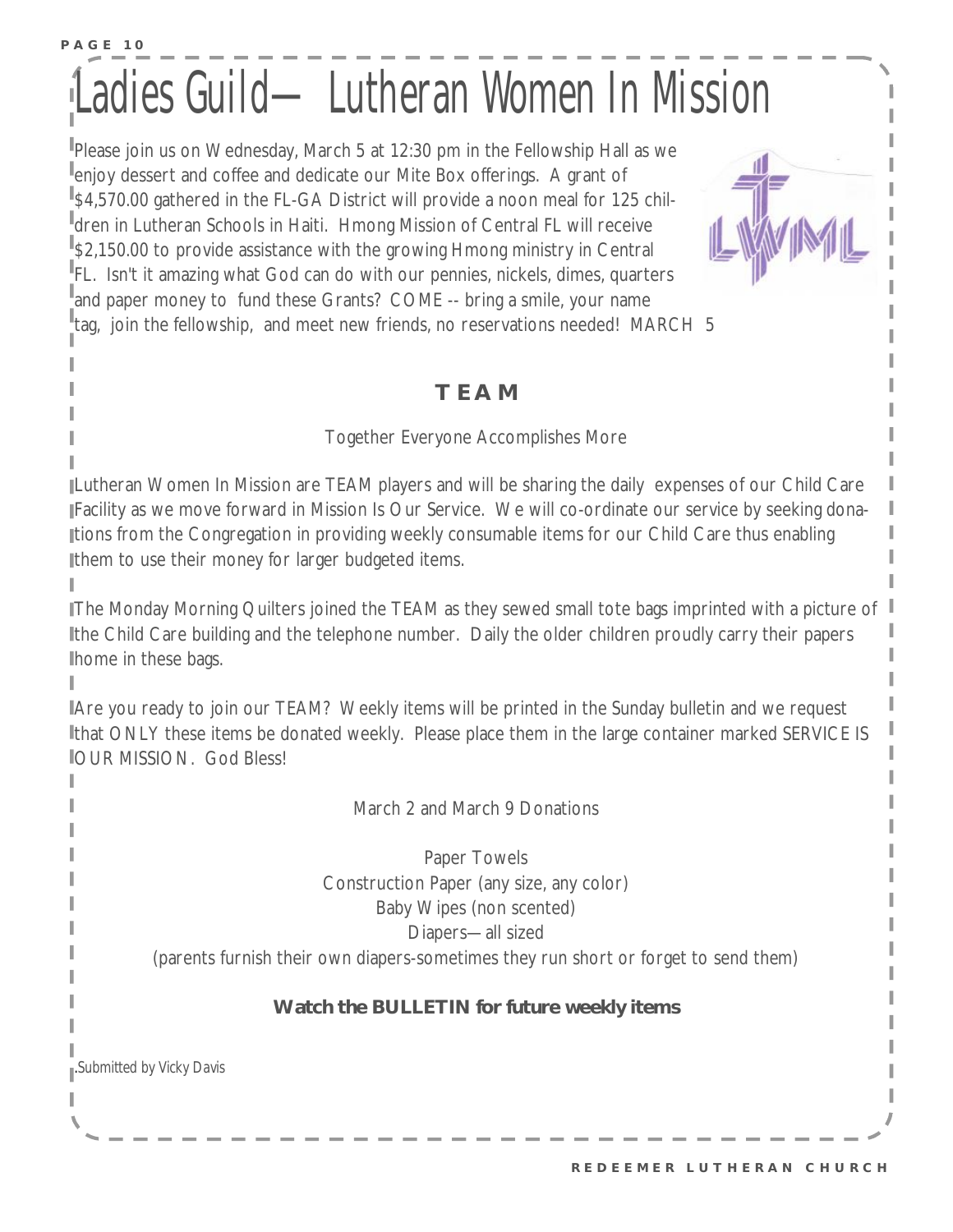### **P A G E 10**  Ladies Guild—Lutheran Women In Mssion

Please join us on Wednesday, March 5 at 12:30 pm in the Fellowship Hall as we enjoy dessert and coffee and dedicate our Mite Box offerings. A grant of <sup>1</sup>\$4,570.00 gathered in the FL-GA District will provide a noon meal for 125 children in Lutheran Schools in Haiti. Hmong Mission of Central FL will receive <sup>#</sup>\$2,150.00 to provide assistance with the growing Hmong ministry in Central FL. Isn't it amazing what God can do with our pennies, nickels, dimes, quarters and paper money to fund these Grants? COME -- bring a smile, your name tag, join the fellowship, and meet new friends, no reservations needed! MARCH 5

#### **T E A M**

#### Together Everyone Accomplishes More

Lutheran Women In Mission are TEAM players and will be sharing the daily expenses of our Child Care Facility as we move forward in Mission Is Our Service. We will co-ordinate our service by seeking donations from the Congregation in providing weekly consumable items for our Child Care thus enabling them to use their money for larger budgeted items.

The Monday Morning Quilters joined the TEAM as they sewed small tote bags imprinted with a picture of the Child Care building and the telephone number. Daily the older children proudly carry their papers home in these bags.

Are you ready to join our TEAM? Weekly items will be printed in the Sunday bulletin and we request that ONLY these items be donated weekly. Please place them in the large container marked SERVICE IS **JOUR MISSION. God Bless!** 

March 2 and March 9 Donations

Paper Towels Construction Paper (any size, any color) Baby Wipes (non scented) Diapers—all sized

(parents furnish their own diapers-sometimes they run short or forget to send them)

#### **Watch the BULLETIN for future weekly items**

.*Submitted by Vicky Davis*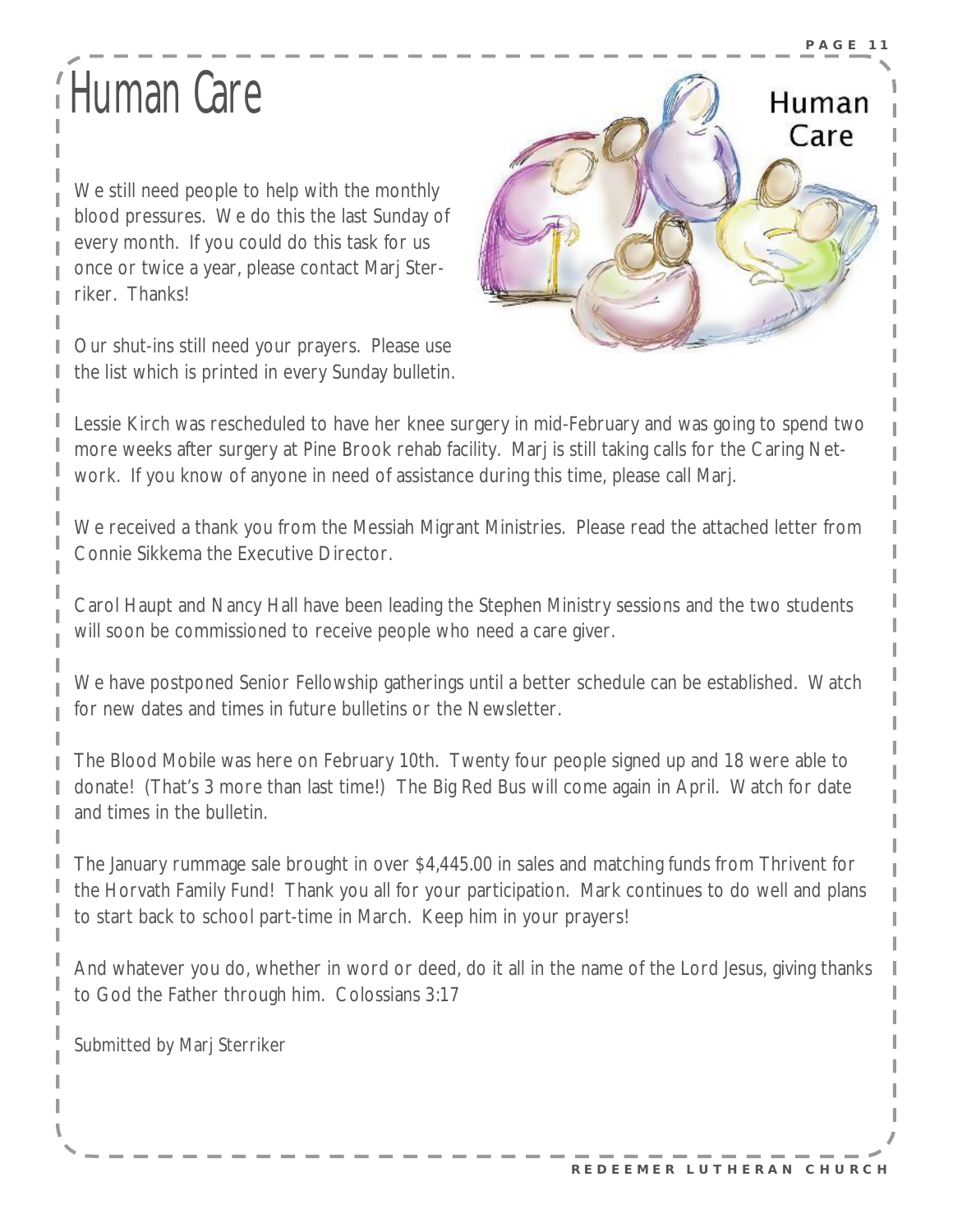## Human Care

We still need people to help with the monthly blood pressures. We do this the last Sunday of every month. If you could do this task for us once or twice a year, please contact Marj Sterriker. Thanks!

Our shut-ins still need your prayers. Please use the list which is printed in every Sunday bulletin.



Lessie Kirch was rescheduled to have her knee surgery in mid-February and was going to spend two more weeks after surgery at Pine Brook rehab facility. Marj is still taking calls for the Caring Network. If you know of anyone in need of assistance during this time, please call Marj.

We received a thank you from the Messiah Migrant Ministries. Please read the attached letter from Connie Sikkema the Executive Director.

Carol Haupt and Nancy Hall have been leading the Stephen Ministry sessions and the two students will soon be commissioned to receive people who need a care giver.

We have postponed Senior Fellowship gatherings until a better schedule can be established. Watch for new dates and times in future bulletins or the Newsletter.

The Blood Mobile was here on February 10th. Twenty four people signed up and 18 were able to donate! (That's 3 more than last time!) The Big Red Bus will come again in April. Watch for date and times in the bulletin.

The January rummage sale brought in over \$4,445.00 in sales and matching funds from Thrivent for the Horvath Family Fund! Thank you all for your participation. Mark continues to do well and plans to start back to school part-time in March. Keep him in your prayers!

And whatever you do, whether in word or deed, do it all in the name of the Lord Jesus, giving thanks to God the Father through him. Colossians 3:17

Submitted by Marj Sterriker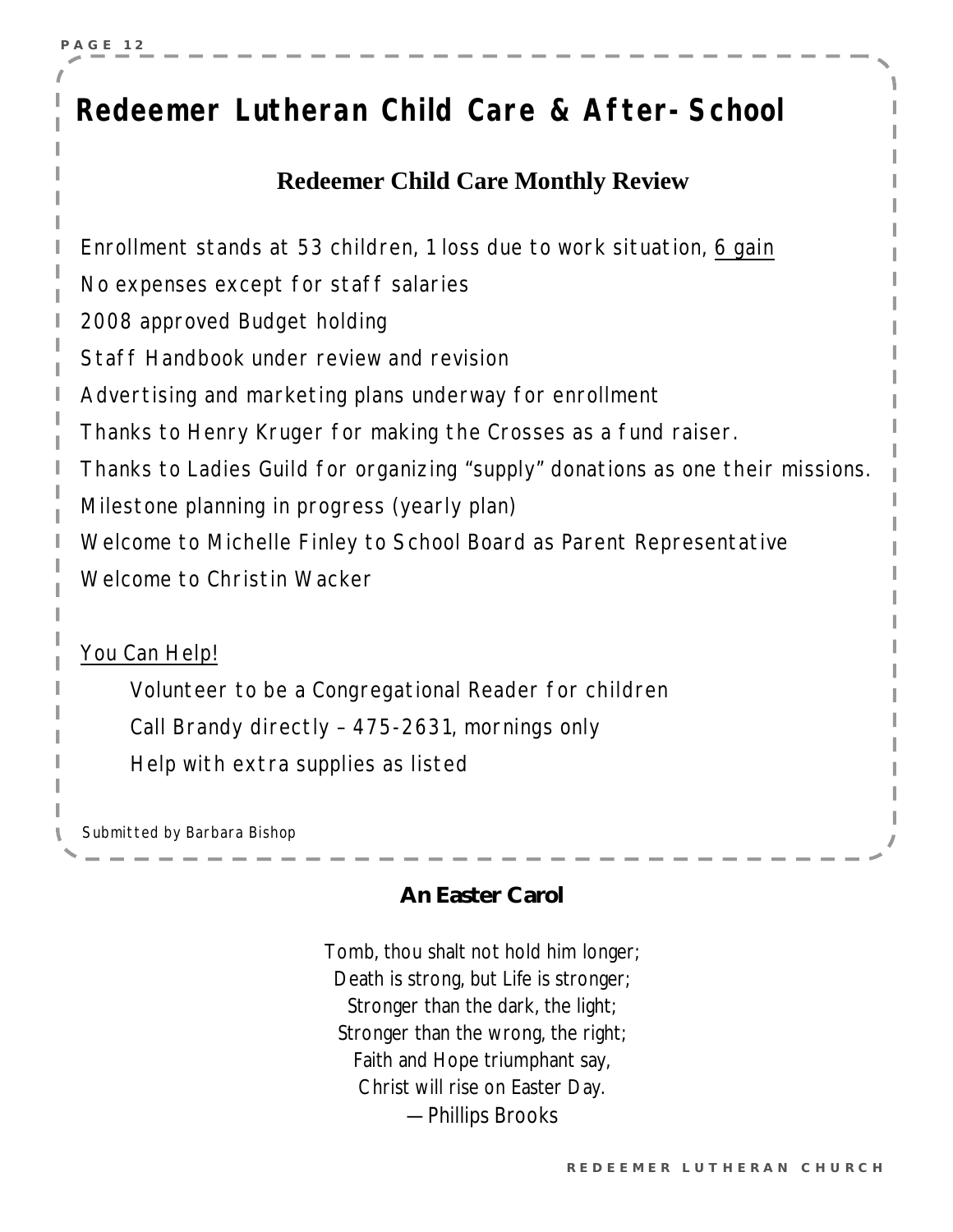### *Redeemer Lutheran Child Care & After-School*

#### **Redeemer Child Care Monthly Review**

Enrollment stands at 53 children, 1 loss due to work situation, 6 gain No expenses except for staff salaries 2008 approved Budget holding Staff Handbook under review and revision Advertising and marketing plans underway for enrollment Thanks to Henry Kruger for making the Crosses as a fund raiser. Thanks to Ladies Guild for organizing "supply" donations as one their missions. Milestone planning in progress (yearly plan) Welcome to Michelle Finley to School Board as Parent Representative Welcome to Christin Wacker

You Can Help!

Volunteer to be a Congregational Reader for children Call Brandy directly – 475-2631, mornings only Help with extra supplies as listed

Submitted by Barbara Bishop

#### **An Easter Carol**

Tomb, thou shalt not hold him longer; Death is strong, but Life is stronger; Stronger than the dark, the light; Stronger than the wrong, the right; Faith and Hope triumphant say, Christ will rise on Easter Day. —Phillips Brooks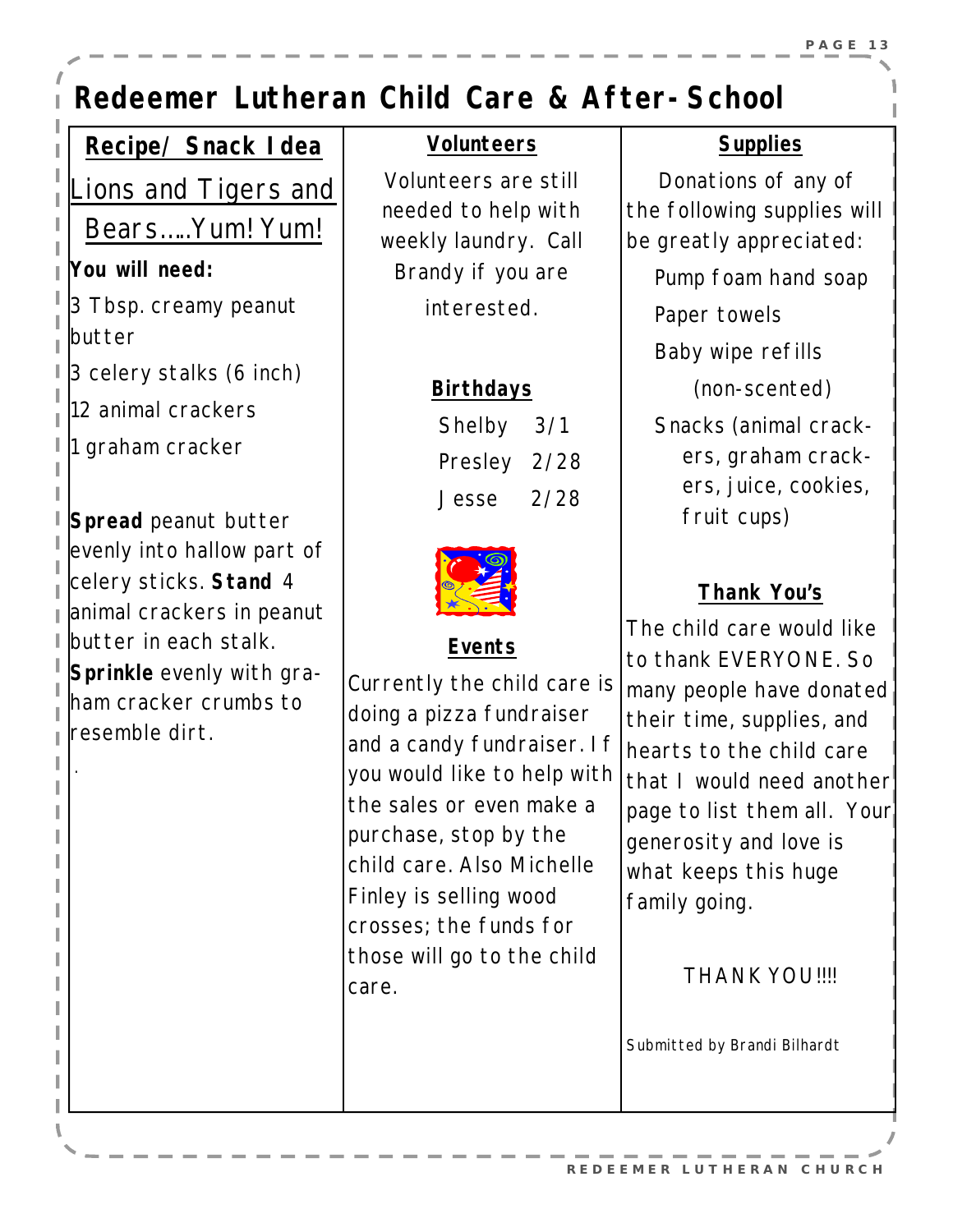### *Redeemer Lutheran Child Care & After-School*

#### **Recipe/ Snack Idea**

*Lions and Tigers and* 

*Bears…..Yum! Yum!*

**You will need:** 

3 Tbsp. creamy peanut butter

3 celery stalks (6 inch)

12 animal crackers

1 graham cracker

.

**Spread** peanut butter evenly into hallow part of celery sticks. **Stand** 4 animal crackers in peanut butter in each stalk. **Sprinkle** evenly with graham cracker crumbs to resemble dirt.

#### **Volunteers**

Volunteers are still needed to help with weekly laundry. Call Brandy if you are interested.

#### **Birthdays**

| Shelby 3/1   |  |
|--------------|--|
| Presley 2/28 |  |
| Jesse 2/28   |  |



#### **Events**

Currently the child care is doing a pizza fundraiser and a candy fundraiser. If you would like to help with the sales or even make a purchase, stop by the child care. Also Michelle Finley is selling wood crosses; the funds for those will go to the child care.

#### **Supplies**

 Donations of any of the following supplies will be greatly appreciated:

Pump foam hand soap

Paper towels

Baby wipe refills

(non-scented)

Snacks (animal crackers, graham crackers, juice, cookies, fruit cups)

#### **Thank You's**

The child care would like to thank EVERYONE. So many people have donated their time, supplies, and hearts to the child care that I would need another page to list them all. Your generosity and love is what keeps this huge family going.

THANK YOU!!!!

*Submitted by Brandi Bilhardt*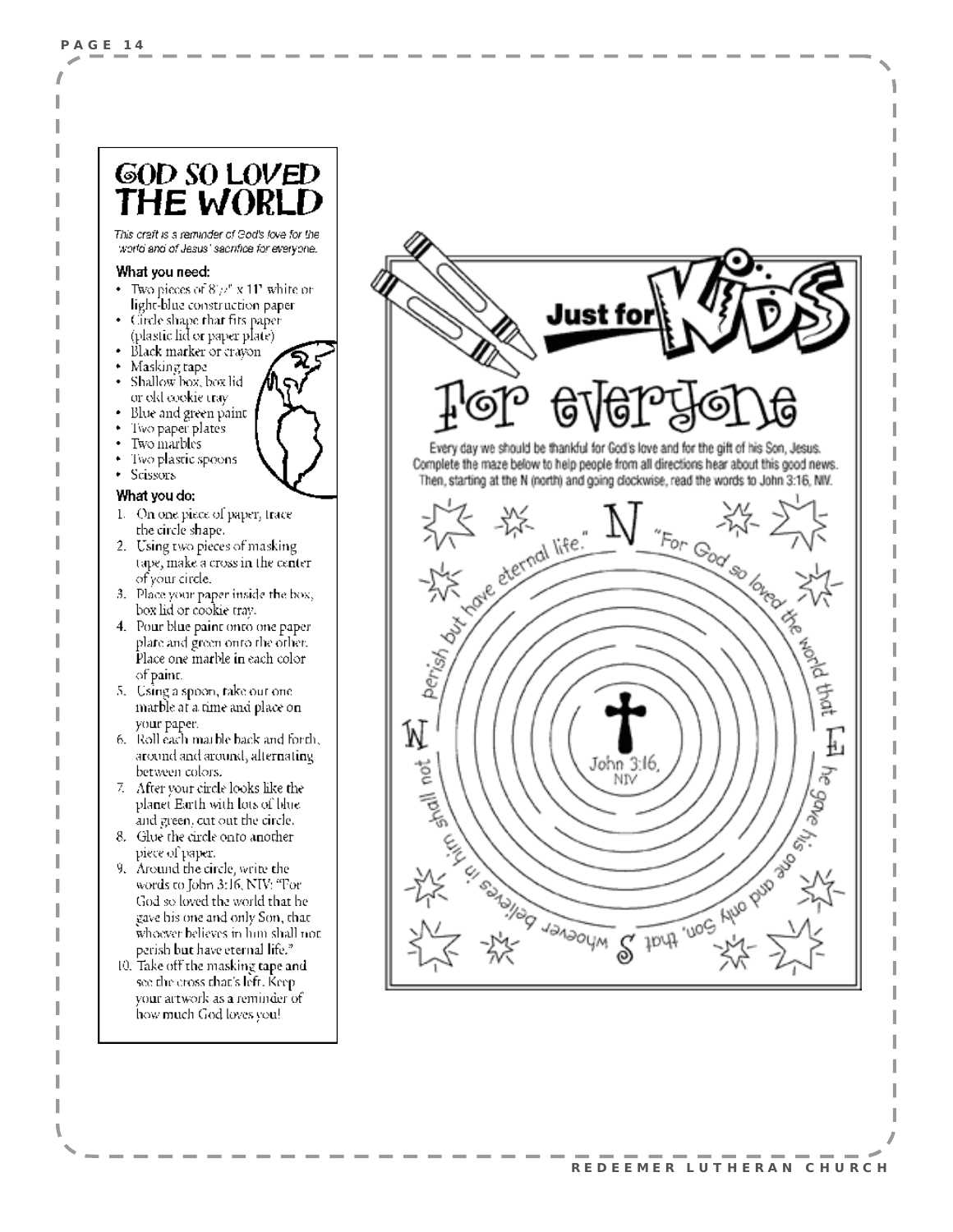#### GOD SO LOVED THE WORL

This craft is a reminder of God's love for the world and of Jesus' sacrifice for everyone.

#### What you need:

- Two pieces of  $8/\nu$ " x 11" white or light-blue construction paper.
- Circle shape that fits paper (plastic lid or paper plate).
- Black marker or crayon
- Masking tape
- Shallow box, box lid or okl cookie tray
- Blue and green paint
- Two paper plates
- Two marbles
- Two plastic spoons
- Scissors

#### What you do:

- $1$  . On one piece of paper, trace the circle shape.
- 2. Using two pieces of masking tape, make a cross in the center. of your circle.
- 3. Place your paper inside the box, box lid or cookie trav.
- 4. Pour blue paint onto one paper plate and green onto the other. Place one marble in each color of paint.
- 5. Using a spoon, take out one marble at a time and place on your paper.
- 6. Roll each marble back and forth, around and around, alternating between colors.
- 7. After your circle looks like the planet Earth with lots of blue. and green, cut out the circle.-
- 8. Glue the circle onto another piece of paper.
- 9. Around the circle, write the words to John 3:16, NIV: "For God so loved the world that he gave his one and only Son, that whoever believes in him shall not. perish but have eternal life."
- 10. Take off the masking tape and see the cross that's left. Keepyour artwork as a reminder of how much God loves you!